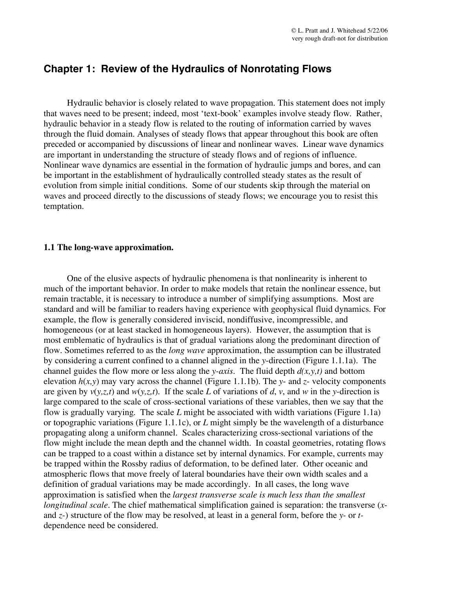## **Chapter 1: Review of the Hydraulics of Nonrotating Flows**

Hydraulic behavior is closely related to wave propagation. This statement does not imply that waves need to be present; indeed, most 'text-book' examples involve steady flow. Rather, hydraulic behavior in a steady flow is related to the routing of information carried by waves through the fluid domain. Analyses of steady flows that appear throughout this book are often preceded or accompanied by discussions of linear and nonlinear waves. Linear wave dynamics are important in understanding the structure of steady flows and of regions of influence. Nonlinear wave dynamics are essential in the formation of hydraulic jumps and bores, and can be important in the establishment of hydraulically controlled steady states as the result of evolution from simple initial conditions. Some of our students skip through the material on waves and proceed directly to the discussions of steady flows; we encourage you to resist this temptation.

## **1.1 The long-wave approximation.**

One of the elusive aspects of hydraulic phenomena is that nonlinearity is inherent to much of the important behavior. In order to make models that retain the nonlinear essence, but remain tractable, it is necessary to introduce a number of simplifying assumptions. Most are standard and will be familiar to readers having experience with geophysical fluid dynamics. For example, the flow is generally considered inviscid, nondiffusive, incompressible, and homogeneous (or at least stacked in homogeneous layers). However, the assumption that is most emblematic of hydraulics is that of gradual variations along the predominant direction of flow. Sometimes referred to as the *long wave* approximation, the assumption can be illustrated by considering a current confined to a channel aligned in the *y*-direction (Figure 1.1.1a). The channel guides the flow more or less along the *y-axis*. The fluid depth  $d(x, y, t)$  and bottom elevation  $h(x, y)$  may vary across the channel (Figure 1.1.1b). The *y*- and *z*- velocity components are given by  $v(y, z, t)$  and  $w(y, z, t)$ . If the scale *L* of variations of *d*, *v*, and *w* in the *y*-direction is large compared to the scale of cross-sectional variations of these variables, then we say that the flow is gradually varying. The scale *L* might be associated with width variations (Figure 1.1a) or topographic variations (Figure 1.1.1c), or *L* might simply be the wavelength of a disturbance propagating along a uniform channel. Scales characterizing cross-sectional variations of the flow might include the mean depth and the channel width. In coastal geometries, rotating flows can be trapped to a coast within a distance set by internal dynamics. For example, currents may be trapped within the Rossby radius of deformation, to be defined later. Other oceanic and atmospheric flows that move freely of lateral boundaries have their own width scales and a definition of gradual variations may be made accordingly. In all cases, the long wave approximation is satisfied when the *largest transverse scale is much less than the smallest longitudinal scale.* The chief mathematical simplification gained is separation: the transverse (*x*and *z*-) structure of the flow may be resolved, at least in a general form, before the *y-* or *t*dependence need be considered.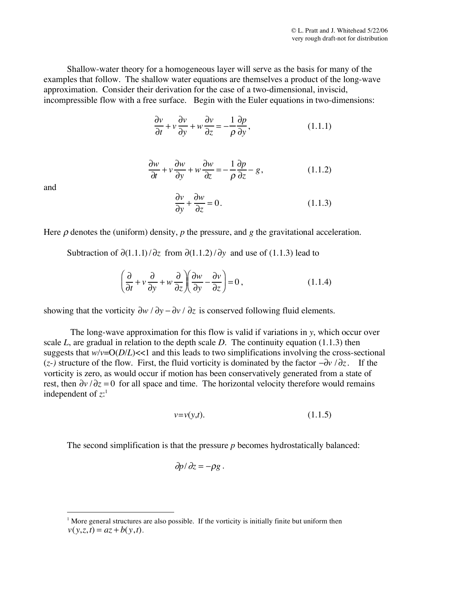Shallow-water theory for a homogeneous layer will serve as the basis for many of the examples that follow. The shallow water equations are themselves a product of the long-wave approximation. Consider their derivation for the case of a two-dimensional, inviscid, incompressible flow with a free surface. Begin with the Euler equations in two-dimensions:

$$
\frac{\partial v}{\partial t} + v \frac{\partial v}{\partial y} + w \frac{\partial v}{\partial z} = -\frac{1}{\rho} \frac{\partial p}{\partial y},
$$
 (1.1.1)

$$
\frac{\partial w}{\partial t} + v \frac{\partial w}{\partial y} + w \frac{\partial w}{\partial z} = -\frac{1}{\rho} \frac{\partial p}{\partial z} - g,\tag{1.1.2}
$$

and

$$
\frac{\partial v}{\partial y} + \frac{\partial w}{\partial z} = 0.
$$
 (1.1.3)

Here  $\rho$  denotes the (uniform) density,  $p$  the pressure, and  $g$  the gravitational acceleration.

Subtraction of  $\partial(1.1.1)/\partial z$  from  $\partial(1.1.2)/\partial y$  and use of (1.1.3) lead to

$$
\left(\frac{\partial}{\partial t} + v\frac{\partial}{\partial y} + w\frac{\partial}{\partial z}\right)\left(\frac{\partial w}{\partial y} - \frac{\partial v}{\partial z}\right) = 0, \qquad (1.1.4)
$$

showing that the vorticity  $\partial w / \partial y - \partial v / \partial z$  is conserved following fluid elements.

The long-wave approximation for this flow is valid if variations in *y*, which occur over scale *L*, are gradual in relation to the depth scale *D.* The continuity equation (1.1.3) then suggests that  $w/v=O(D/L)$ <<1 and this leads to two simplifications involving the cross-sectional (*z*-) structure of the flow. First, the fluid vorticity is dominated by the factor  $-\partial v / \partial z$ . If the vorticity is zero, as would occur if motion has been conservatively generated from a state of rest, then  $\partial v / \partial z = 0$  for all space and time. The horizontal velocity therefore would remains independent of *z*: 1

$$
v = v(y,t). \tag{1.1.5}
$$

The second simplification is that the pressure *p* becomes hydrostatically balanced:

$$
\frac{\partial p}{\partial z} = -\rho g.
$$

 $1$  More general structures are also possible. If the vorticity is initially finite but uniform then  $v(y, z, t) = az + b(y, t).$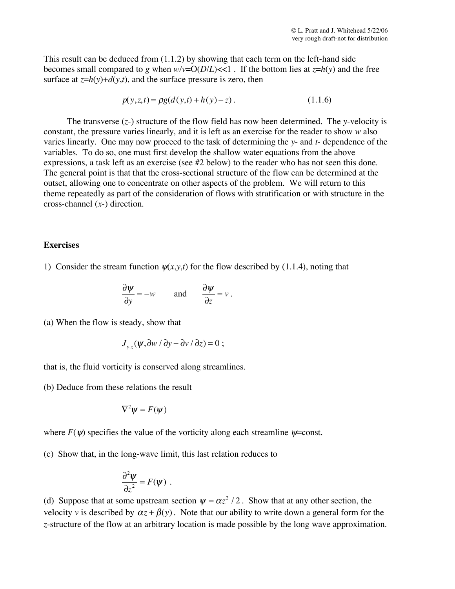This result can be deduced from  $(1.1.2)$  by showing that each term on the left-hand side becomes small compared to *g* when  $w/v=O(D/L) \ll 1$ . If the bottom lies at  $z=h(v)$  and the free surface at  $z=h(y)+d(y,t)$ , and the surface pressure is zero, then

$$
p(y, z, t) = \rho g(d(y, t) + h(y) - z).
$$
 (1.1.6)

The transverse (*z*-) structure of the flow field has now been determined. The *y*-velocity is constant, the pressure varies linearly, and it is left as an exercise for the reader to show *w* also varies linearly. One may now proceed to the task of determining the *y*- and *t*- dependence of the variables. To do so, one must first develop the shallow water equations from the above expressions, a task left as an exercise (see #2 below) to the reader who has not seen this done. The general point is that that the cross-sectional structure of the flow can be determined at the outset, allowing one to concentrate on other aspects of the problem. We will return to this theme repeatedly as part of the consideration of flows with stratification or with structure in the cross-channel (*x*-) direction.

## **Exercises**

1) Consider the stream function  $\psi(x,y,t)$  for the flow described by (1.1.4), noting that

$$
\frac{\partial \psi}{\partial y} = -w \quad \text{and} \quad \frac{\partial \psi}{\partial z} = v \, .
$$

(a) When the flow is steady, show that

$$
J_{y,z}(\psi, \partial w / \partial y - \partial v / \partial z) = 0 ;
$$

that is, the fluid vorticity is conserved along streamlines.

(b) Deduce from these relations the result

$$
\nabla^2 \psi = F(\psi)
$$

where  $F(\psi)$  specifies the value of the vorticity along each streamline  $\psi$ =const.

(c) Show that, in the long-wave limit, this last relation reduces to

$$
\frac{\partial^2 \psi}{\partial z^2} = F(\psi) \ .
$$

(d) Suppose that at some upstream section  $\psi = \alpha z^2 / 2$ . Show that at any other section, the velocity *v* is described by  $\alpha z + \beta(y)$ . Note that our ability to write down a general form for the *z*-structure of the flow at an arbitrary location is made possible by the long wave approximation.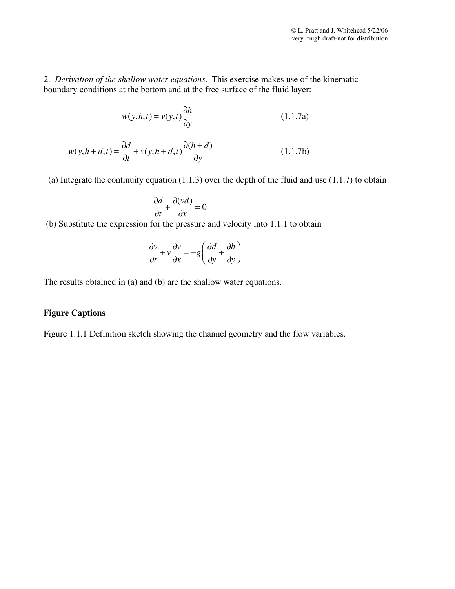2. *Derivation of the shallow water equations.* This exercise makes use of the kinematic boundary conditions at the bottom and at the free surface of the fluid layer:

$$
w(y, h, t) = v(y, t) \frac{\partial h}{\partial y}
$$
 (1.1.7a)

$$
w(y, h+d, t) = \frac{\partial d}{\partial t} + v(y, h+d, t) \frac{\partial (h+d)}{\partial y}
$$
 (1.1.7b)

(a) Integrate the continuity equation  $(1.1.3)$  over the depth of the fluid and use  $(1.1.7)$  to obtain

$$
\frac{\partial d}{\partial t} + \frac{\partial (vd)}{\partial x} = 0
$$

(b) Substitute the expression for the pressure and velocity into 1.1.1 to obtain

$$
\frac{\partial v}{\partial t} + v \frac{\partial v}{\partial x} = -g \left( \frac{\partial d}{\partial y} + \frac{\partial h}{\partial y} \right)
$$

The results obtained in (a) and (b) are the shallow water equations.

## **Figure Captions**

Figure 1.1.1 Definition sketch showing the channel geometry and the flow variables.